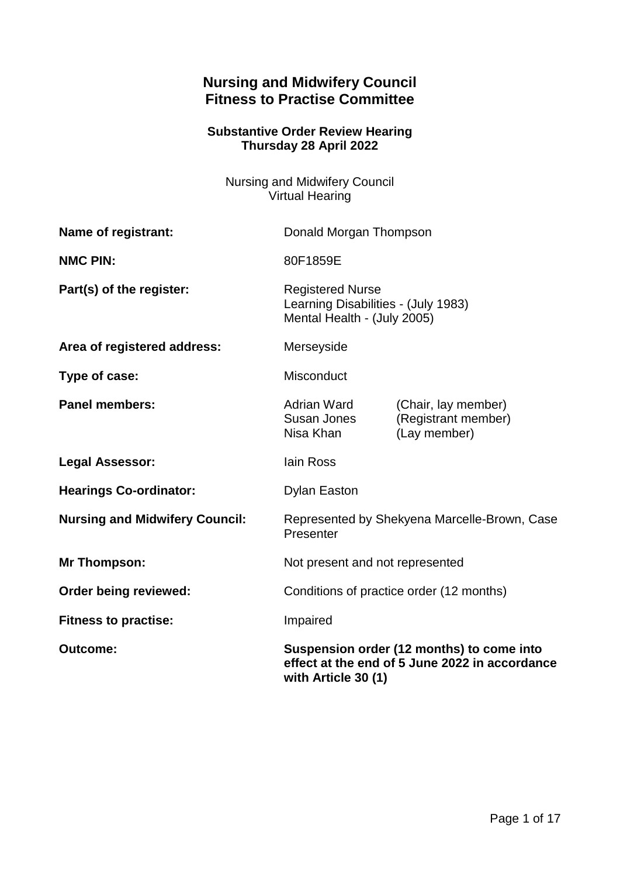# **Nursing and Midwifery Council Fitness to Practise Committee**

## **Substantive Order Review Hearing Thursday 28 April 2022**

Nursing and Midwifery Council Virtual Hearing

| Name of registrant:                   | Donald Morgan Thompson                                                                                             |                                                            |
|---------------------------------------|--------------------------------------------------------------------------------------------------------------------|------------------------------------------------------------|
| <b>NMC PIN:</b>                       | 80F1859E                                                                                                           |                                                            |
| Part(s) of the register:              | <b>Registered Nurse</b><br>Learning Disabilities - (July 1983)<br>Mental Health - (July 2005)                      |                                                            |
| Area of registered address:           | Merseyside                                                                                                         |                                                            |
| Type of case:                         | <b>Misconduct</b>                                                                                                  |                                                            |
| <b>Panel members:</b>                 | Adrian Ward<br>Susan Jones<br>Nisa Khan                                                                            | (Chair, lay member)<br>(Registrant member)<br>(Lay member) |
| <b>Legal Assessor:</b>                | lain Ross                                                                                                          |                                                            |
| <b>Hearings Co-ordinator:</b>         | <b>Dylan Easton</b>                                                                                                |                                                            |
| <b>Nursing and Midwifery Council:</b> | Represented by Shekyena Marcelle-Brown, Case<br>Presenter                                                          |                                                            |
| <b>Mr Thompson:</b>                   | Not present and not represented                                                                                    |                                                            |
| Order being reviewed:                 | Conditions of practice order (12 months)                                                                           |                                                            |
| <b>Fitness to practise:</b>           | Impaired                                                                                                           |                                                            |
| <b>Outcome:</b>                       | Suspension order (12 months) to come into<br>effect at the end of 5 June 2022 in accordance<br>with Article 30 (1) |                                                            |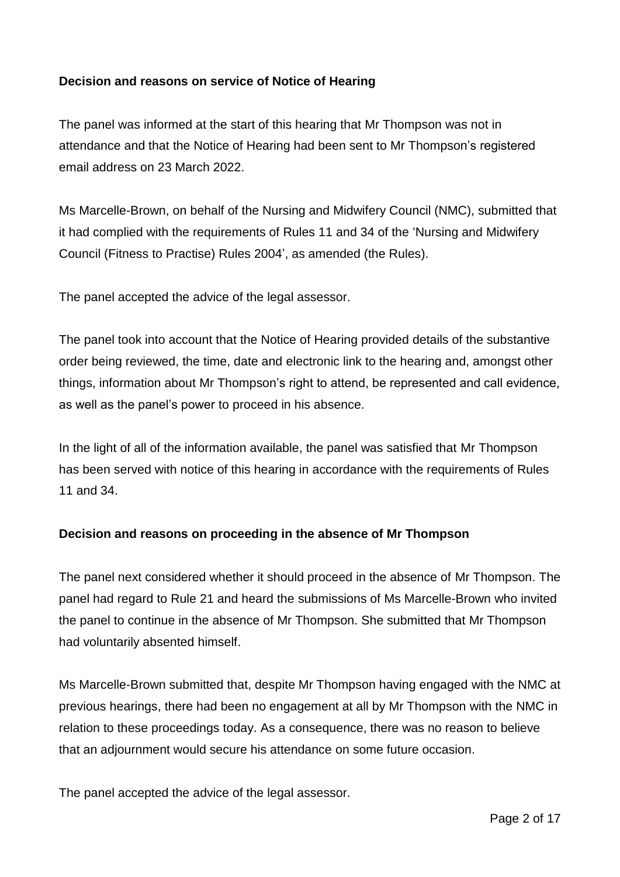## **Decision and reasons on service of Notice of Hearing**

The panel was informed at the start of this hearing that Mr Thompson was not in attendance and that the Notice of Hearing had been sent to Mr Thompson's registered email address on 23 March 2022.

Ms Marcelle-Brown, on behalf of the Nursing and Midwifery Council (NMC), submitted that it had complied with the requirements of Rules 11 and 34 of the 'Nursing and Midwifery Council (Fitness to Practise) Rules 2004', as amended (the Rules).

The panel accepted the advice of the legal assessor.

The panel took into account that the Notice of Hearing provided details of the substantive order being reviewed, the time, date and electronic link to the hearing and, amongst other things, information about Mr Thompson's right to attend, be represented and call evidence, as well as the panel's power to proceed in his absence.

In the light of all of the information available, the panel was satisfied that Mr Thompson has been served with notice of this hearing in accordance with the requirements of Rules 11 and 34.

### **Decision and reasons on proceeding in the absence of Mr Thompson**

The panel next considered whether it should proceed in the absence of Mr Thompson. The panel had regard to Rule 21 and heard the submissions of Ms Marcelle-Brown who invited the panel to continue in the absence of Mr Thompson. She submitted that Mr Thompson had voluntarily absented himself.

Ms Marcelle-Brown submitted that, despite Mr Thompson having engaged with the NMC at previous hearings, there had been no engagement at all by Mr Thompson with the NMC in relation to these proceedings today. As a consequence, there was no reason to believe that an adjournment would secure his attendance on some future occasion.

The panel accepted the advice of the legal assessor.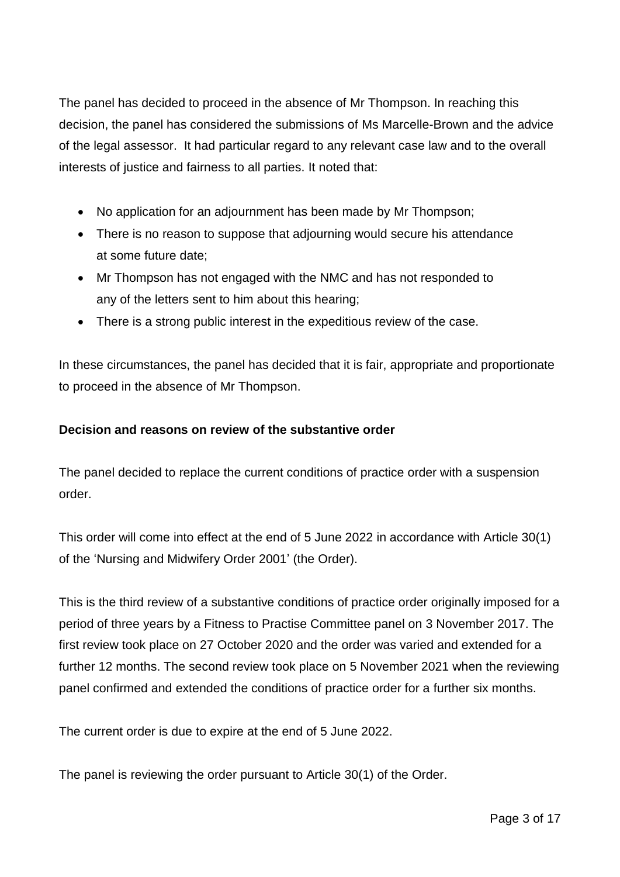The panel has decided to proceed in the absence of Mr Thompson. In reaching this decision, the panel has considered the submissions of Ms Marcelle-Brown and the advice of the legal assessor. It had particular regard to any relevant case law and to the overall interests of justice and fairness to all parties. It noted that:

- No application for an adjournment has been made by Mr Thompson;
- There is no reason to suppose that adjourning would secure his attendance at some future date;
- Mr Thompson has not engaged with the NMC and has not responded to any of the letters sent to him about this hearing;
- There is a strong public interest in the expeditious review of the case.

In these circumstances, the panel has decided that it is fair, appropriate and proportionate to proceed in the absence of Mr Thompson.

## **Decision and reasons on review of the substantive order**

The panel decided to replace the current conditions of practice order with a suspension order.

This order will come into effect at the end of 5 June 2022 in accordance with Article 30(1) of the 'Nursing and Midwifery Order 2001' (the Order).

This is the third review of a substantive conditions of practice order originally imposed for a period of three years by a Fitness to Practise Committee panel on 3 November 2017. The first review took place on 27 October 2020 and the order was varied and extended for a further 12 months. The second review took place on 5 November 2021 when the reviewing panel confirmed and extended the conditions of practice order for a further six months.

The current order is due to expire at the end of 5 June 2022.

The panel is reviewing the order pursuant to Article 30(1) of the Order.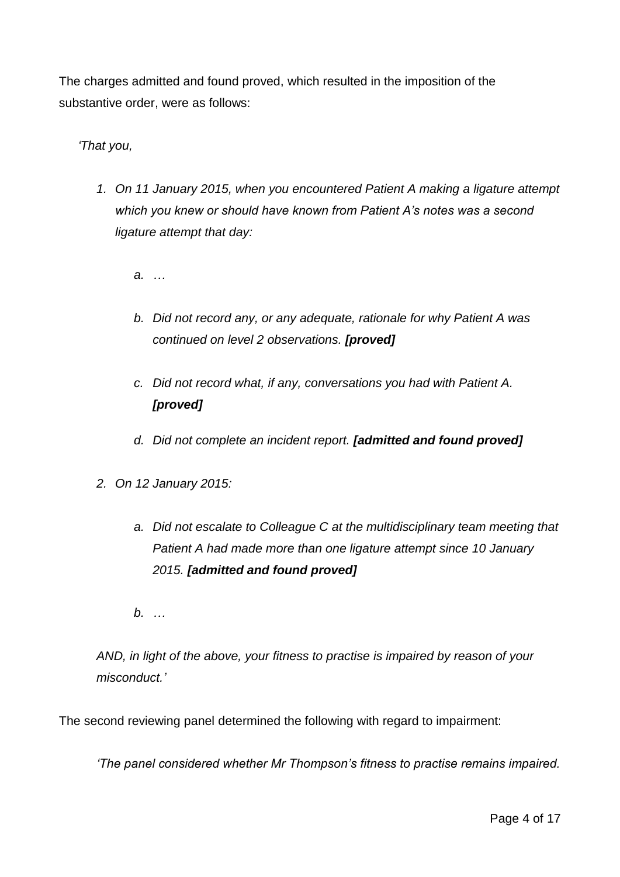The charges admitted and found proved, which resulted in the imposition of the substantive order, were as follows:

## *'That you,*

- *1. On 11 January 2015, when you encountered Patient A making a ligature attempt which you knew or should have known from Patient A's notes was a second ligature attempt that day:*
	- *a. …*
	- *b. Did not record any, or any adequate, rationale for why Patient A was continued on level 2 observations. [proved]*
	- *c. Did not record what, if any, conversations you had with Patient A. [proved]*
	- *d. Did not complete an incident report. [admitted and found proved]*
- *2. On 12 January 2015:* 
	- *a. Did not escalate to Colleague C at the multidisciplinary team meeting that Patient A had made more than one ligature attempt since 10 January 2015. [admitted and found proved]*
	- *b. …*

*AND, in light of the above, your fitness to practise is impaired by reason of your misconduct.'*

The second reviewing panel determined the following with regard to impairment:

*'The panel considered whether Mr Thompson's fitness to practise remains impaired.*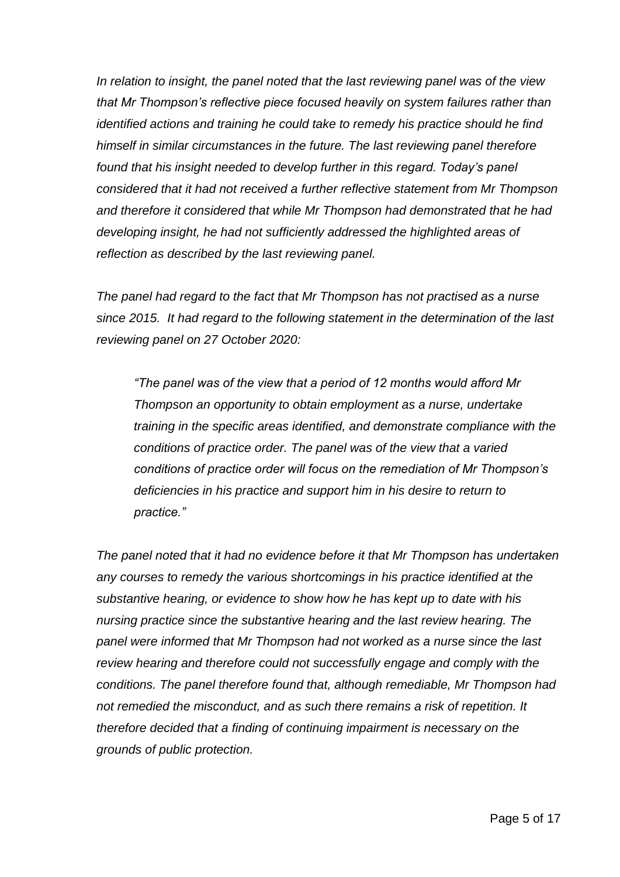*In relation to insight, the panel noted that the last reviewing panel was of the view that Mr Thompson's reflective piece focused heavily on system failures rather than identified actions and training he could take to remedy his practice should he find himself in similar circumstances in the future. The last reviewing panel therefore*  found that his insight needed to develop further in this regard. Today's panel *considered that it had not received a further reflective statement from Mr Thompson and therefore it considered that while Mr Thompson had demonstrated that he had developing insight, he had not sufficiently addressed the highlighted areas of reflection as described by the last reviewing panel.*

*The panel had regard to the fact that Mr Thompson has not practised as a nurse since 2015. It had regard to the following statement in the determination of the last reviewing panel on 27 October 2020:*

*"The panel was of the view that a period of 12 months would afford Mr Thompson an opportunity to obtain employment as a nurse, undertake training in the specific areas identified, and demonstrate compliance with the conditions of practice order. The panel was of the view that a varied conditions of practice order will focus on the remediation of Mr Thompson's deficiencies in his practice and support him in his desire to return to practice."*

*The panel noted that it had no evidence before it that Mr Thompson has undertaken any courses to remedy the various shortcomings in his practice identified at the substantive hearing, or evidence to show how he has kept up to date with his nursing practice since the substantive hearing and the last review hearing. The panel were informed that Mr Thompson had not worked as a nurse since the last review hearing and therefore could not successfully engage and comply with the conditions. The panel therefore found that, although remediable, Mr Thompson had not remedied the misconduct, and as such there remains a risk of repetition. It therefore decided that a finding of continuing impairment is necessary on the grounds of public protection.*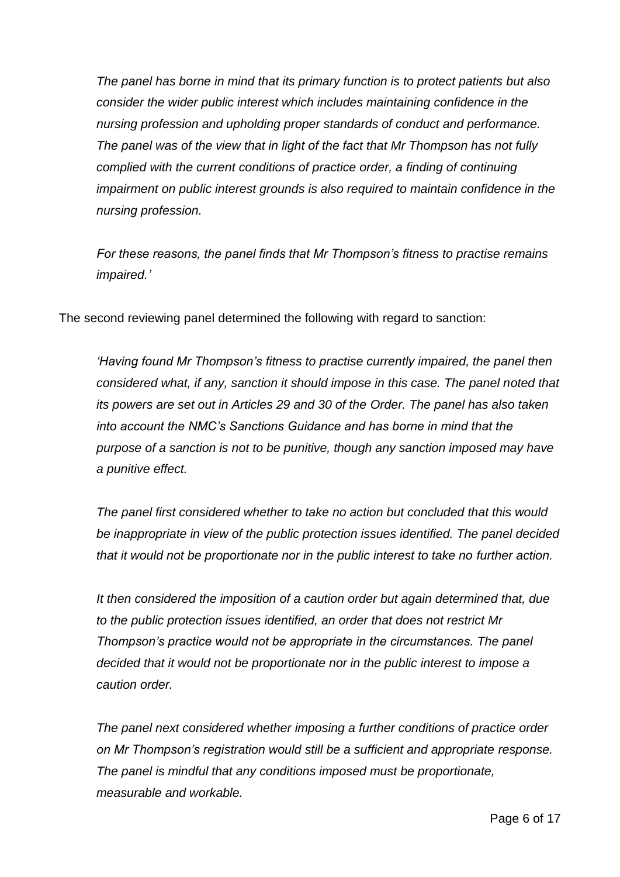*The panel has borne in mind that its primary function is to protect patients but also consider the wider public interest which includes maintaining confidence in the nursing profession and upholding proper standards of conduct and performance. The panel was of the view that in light of the fact that Mr Thompson has not fully complied with the current conditions of practice order, a finding of continuing impairment on public interest grounds is also required to maintain confidence in the nursing profession.*

*For these reasons, the panel finds that Mr Thompson's fitness to practise remains impaired.'*

The second reviewing panel determined the following with regard to sanction:

*'Having found Mr Thompson's fitness to practise currently impaired, the panel then considered what, if any, sanction it should impose in this case. The panel noted that its powers are set out in Articles 29 and 30 of the Order. The panel has also taken into account the NMC's Sanctions Guidance and has borne in mind that the purpose of a sanction is not to be punitive, though any sanction imposed may have a punitive effect.*

*The panel first considered whether to take no action but concluded that this would be inappropriate in view of the public protection issues identified. The panel decided that it would not be proportionate nor in the public interest to take no further action.* 

*It then considered the imposition of a caution order but again determined that, due to the public protection issues identified, an order that does not restrict Mr Thompson's practice would not be appropriate in the circumstances. The panel decided that it would not be proportionate nor in the public interest to impose a caution order.*

*The panel next considered whether imposing a further conditions of practice order on Mr Thompson's registration would still be a sufficient and appropriate response. The panel is mindful that any conditions imposed must be proportionate, measurable and workable.*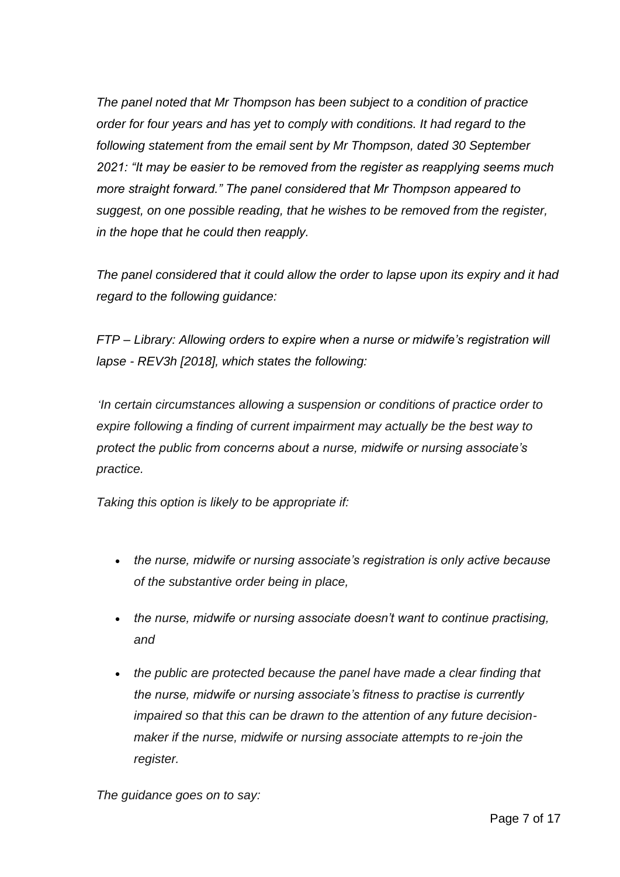*The panel noted that Mr Thompson has been subject to a condition of practice order for four years and has yet to comply with conditions. It had regard to the following statement from the email sent by Mr Thompson, dated 30 September 2021: "It may be easier to be removed from the register as reapplying seems much more straight forward." The panel considered that Mr Thompson appeared to suggest, on one possible reading, that he wishes to be removed from the register, in the hope that he could then reapply.* 

*The panel considered that it could allow the order to lapse upon its expiry and it had regard to the following guidance:*

*FTP – Library: Allowing orders to expire when a nurse or midwife's registration will lapse - REV3h [2018], which states the following:*

*'In certain circumstances allowing a suspension or conditions of practice order to expire following a finding of current impairment may actually be the best way to protect the public from concerns about a nurse, midwife or nursing associate's practice.*

*Taking this option is likely to be appropriate if:*

- *the nurse, midwife or nursing associate's registration is only active because of the substantive order being in place,*
- *the nurse, midwife or nursing associate doesn't want to continue practising, and*
- *the public are protected because the panel have made a clear finding that the nurse, midwife or nursing associate's fitness to practise is currently impaired so that this can be drawn to the attention of any future decisionmaker if the nurse, midwife or nursing associate attempts to re-join the register.*

*The guidance goes on to say:*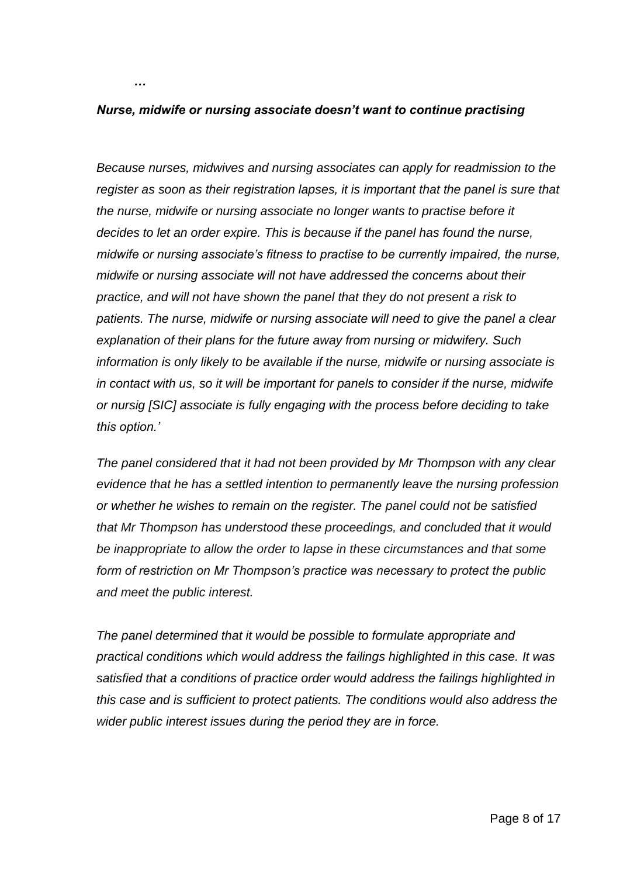*Nurse, midwife or nursing associate doesn't want to continue practising* 

*…*

*Because nurses, midwives and nursing associates can apply for readmission to the register as soon as their registration lapses, it is important that the panel is sure that the nurse, midwife or nursing associate no longer wants to practise before it decides to let an order expire. This is because if the panel has found the nurse, midwife or nursing associate's fitness to practise to be currently impaired, the nurse, midwife or nursing associate will not have addressed the concerns about their practice, and will not have shown the panel that they do not present a risk to patients. The nurse, midwife or nursing associate will need to give the panel a clear explanation of their plans for the future away from nursing or midwifery. Such information is only likely to be available if the nurse, midwife or nursing associate is in contact with us, so it will be important for panels to consider if the nurse, midwife or nursig [SIC] associate is fully engaging with the process before deciding to take this option.'*

*The panel considered that it had not been provided by Mr Thompson with any clear evidence that he has a settled intention to permanently leave the nursing profession or whether he wishes to remain on the register. The panel could not be satisfied that Mr Thompson has understood these proceedings, and concluded that it would be inappropriate to allow the order to lapse in these circumstances and that some form of restriction on Mr Thompson's practice was necessary to protect the public and meet the public interest.* 

*The panel determined that it would be possible to formulate appropriate and practical conditions which would address the failings highlighted in this case. It was satisfied that a conditions of practice order would address the failings highlighted in this case and is sufficient to protect patients. The conditions would also address the wider public interest issues during the period they are in force.*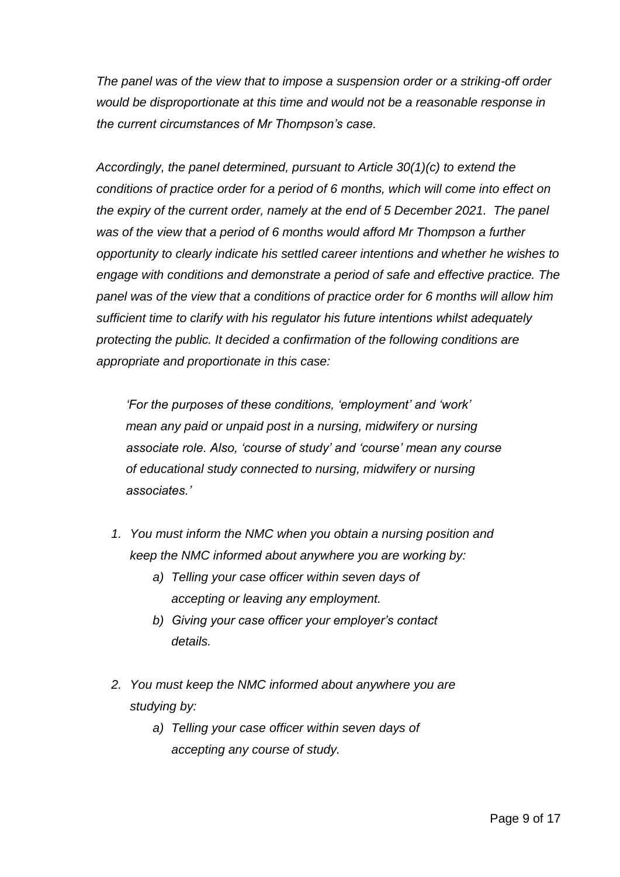*The panel was of the view that to impose a suspension order or a striking-off order would be disproportionate at this time and would not be a reasonable response in the current circumstances of Mr Thompson's case.* 

*Accordingly, the panel determined, pursuant to Article 30(1)(c) to extend the conditions of practice order for a period of 6 months, which will come into effect on the expiry of the current order, namely at the end of 5 December 2021. The panel was of the view that a period of 6 months would afford Mr Thompson a further opportunity to clearly indicate his settled career intentions and whether he wishes to engage with conditions and demonstrate a period of safe and effective practice. The panel was of the view that a conditions of practice order for 6 months will allow him sufficient time to clarify with his regulator his future intentions whilst adequately protecting the public. It decided a confirmation of the following conditions are appropriate and proportionate in this case:*

*'For the purposes of these conditions, 'employment' and 'work' mean any paid or unpaid post in a nursing, midwifery or nursing associate role. Also, 'course of study' and 'course' mean any course of educational study connected to nursing, midwifery or nursing associates.'*

- *1. You must inform the NMC when you obtain a nursing position and keep the NMC informed about anywhere you are working by:* 
	- *a) Telling your case officer within seven days of accepting or leaving any employment.*
	- *b) Giving your case officer your employer's contact details.*
- *2. You must keep the NMC informed about anywhere you are studying by:* 
	- *a) Telling your case officer within seven days of accepting any course of study.*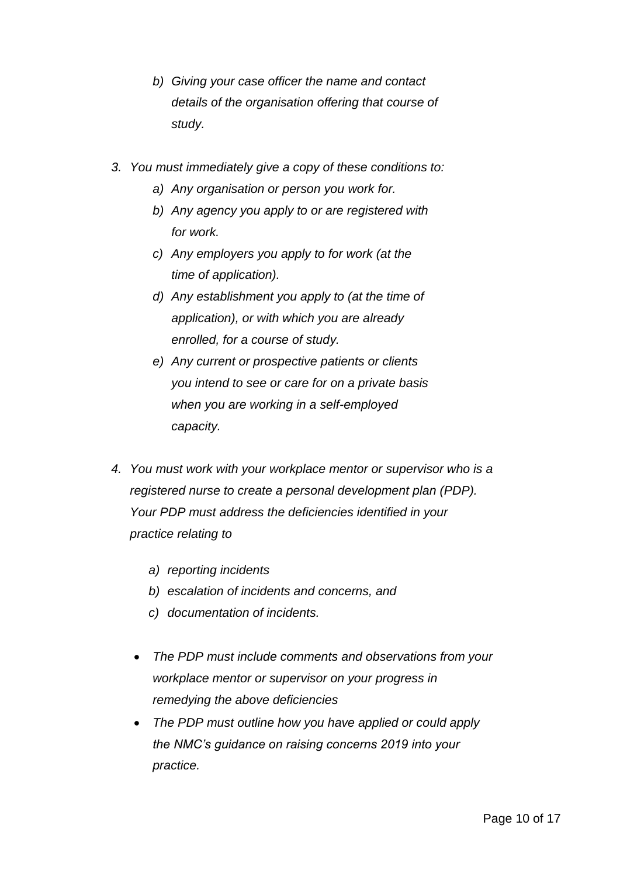- *b) Giving your case officer the name and contact details of the organisation offering that course of study.*
- *3. You must immediately give a copy of these conditions to:* 
	- *a) Any organisation or person you work for.*
	- *b) Any agency you apply to or are registered with for work.*
	- *c) Any employers you apply to for work (at the time of application).*
	- *d) Any establishment you apply to (at the time of application), or with which you are already enrolled, for a course of study.*
	- *e) Any current or prospective patients or clients you intend to see or care for on a private basis when you are working in a self-employed capacity.*
- *4. You must work with your workplace mentor or supervisor who is a registered nurse to create a personal development plan (PDP). Your PDP must address the deficiencies identified in your practice relating to* 
	- *a) reporting incidents*
	- *b) escalation of incidents and concerns, and*
	- *c) documentation of incidents.*
	- *The PDP must include comments and observations from your workplace mentor or supervisor on your progress in remedying the above deficiencies*
	- *The PDP must outline how you have applied or could apply the NMC's guidance on raising concerns 2019 into your practice.*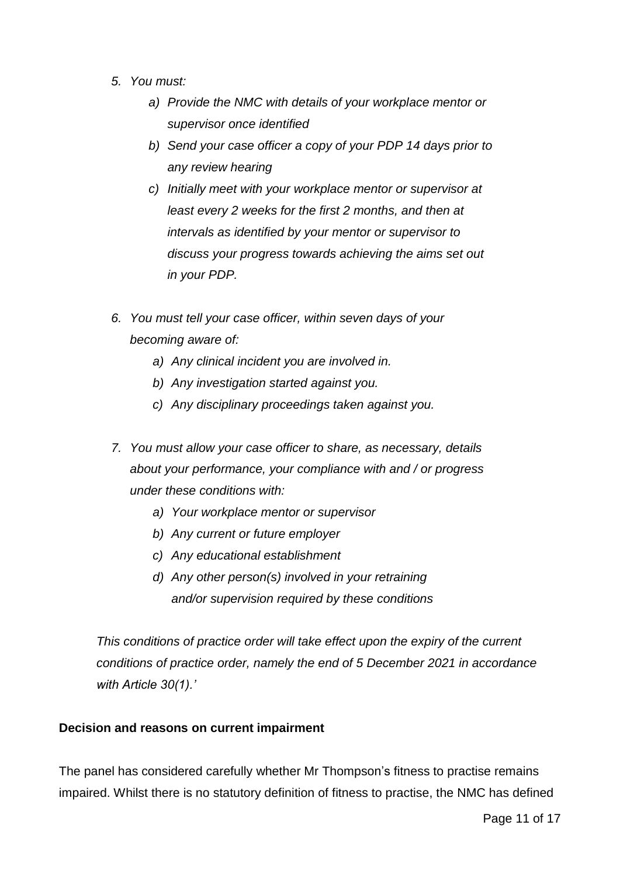- *5. You must:* 
	- *a) Provide the NMC with details of your workplace mentor or supervisor once identified*
	- *b) Send your case officer a copy of your PDP 14 days prior to any review hearing*
	- *c) Initially meet with your workplace mentor or supervisor at least every 2 weeks for the first 2 months, and then at intervals as identified by your mentor or supervisor to discuss your progress towards achieving the aims set out in your PDP.*
- *6. You must tell your case officer, within seven days of your becoming aware of:*
	- *a) Any clinical incident you are involved in.*
	- *b) Any investigation started against you.*
	- *c) Any disciplinary proceedings taken against you.*
- *7. You must allow your case officer to share, as necessary, details about your performance, your compliance with and / or progress under these conditions with:*
	- *a) Your workplace mentor or supervisor*
	- *b) Any current or future employer*
	- *c) Any educational establishment*
	- *d) Any other person(s) involved in your retraining and/or supervision required by these conditions*

*This conditions of practice order will take effect upon the expiry of the current conditions of practice order, namely the end of 5 December 2021 in accordance with Article 30(1).'*

### **Decision and reasons on current impairment**

The panel has considered carefully whether Mr Thompson's fitness to practise remains impaired. Whilst there is no statutory definition of fitness to practise, the NMC has defined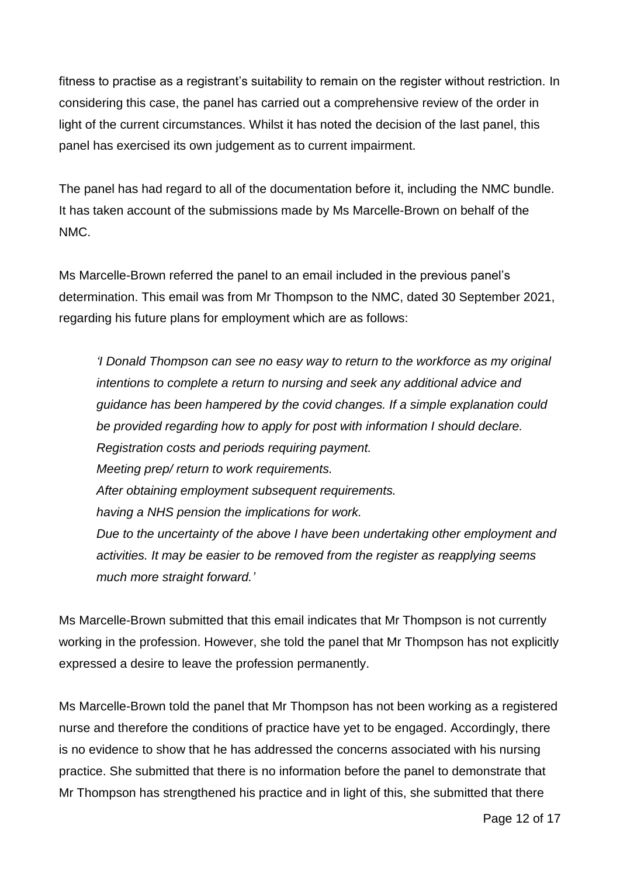fitness to practise as a registrant's suitability to remain on the register without restriction. In considering this case, the panel has carried out a comprehensive review of the order in light of the current circumstances. Whilst it has noted the decision of the last panel, this panel has exercised its own judgement as to current impairment.

The panel has had regard to all of the documentation before it, including the NMC bundle. It has taken account of the submissions made by Ms Marcelle-Brown on behalf of the NMC.

Ms Marcelle-Brown referred the panel to an email included in the previous panel's determination. This email was from Mr Thompson to the NMC, dated 30 September 2021, regarding his future plans for employment which are as follows:

*'I Donald Thompson can see no easy way to return to the workforce as my original intentions to complete a return to nursing and seek any additional advice and guidance has been hampered by the covid changes. If a simple explanation could be provided regarding how to apply for post with information I should declare. Registration costs and periods requiring payment. Meeting prep/ return to work requirements. After obtaining employment subsequent requirements. having a NHS pension the implications for work. Due to the uncertainty of the above I have been undertaking other employment and activities. It may be easier to be removed from the register as reapplying seems much more straight forward.'*

Ms Marcelle-Brown submitted that this email indicates that Mr Thompson is not currently working in the profession. However, she told the panel that Mr Thompson has not explicitly expressed a desire to leave the profession permanently.

Ms Marcelle-Brown told the panel that Mr Thompson has not been working as a registered nurse and therefore the conditions of practice have yet to be engaged. Accordingly, there is no evidence to show that he has addressed the concerns associated with his nursing practice. She submitted that there is no information before the panel to demonstrate that Mr Thompson has strengthened his practice and in light of this, she submitted that there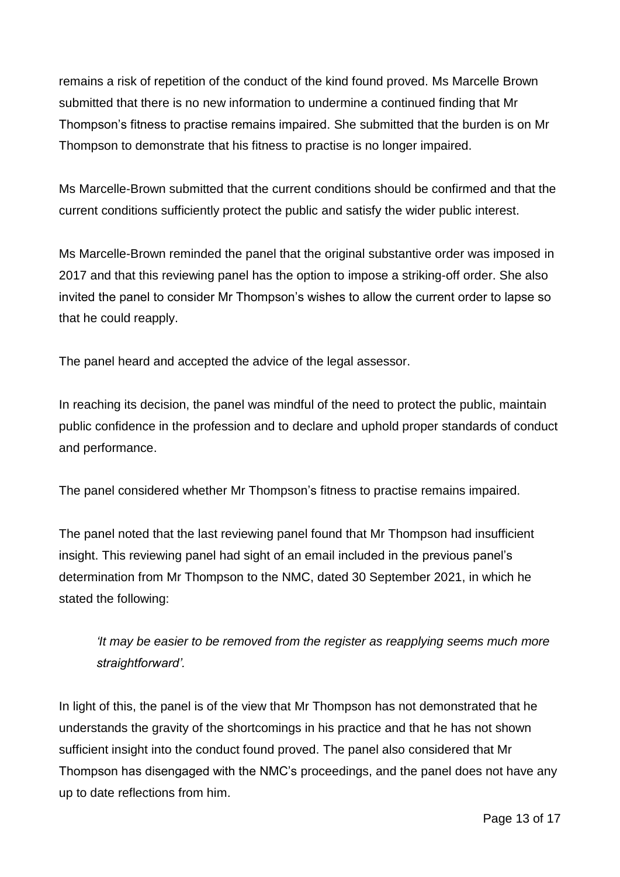remains a risk of repetition of the conduct of the kind found proved. Ms Marcelle Brown submitted that there is no new information to undermine a continued finding that Mr Thompson's fitness to practise remains impaired. She submitted that the burden is on Mr Thompson to demonstrate that his fitness to practise is no longer impaired.

Ms Marcelle-Brown submitted that the current conditions should be confirmed and that the current conditions sufficiently protect the public and satisfy the wider public interest.

Ms Marcelle-Brown reminded the panel that the original substantive order was imposed in 2017 and that this reviewing panel has the option to impose a striking-off order. She also invited the panel to consider Mr Thompson's wishes to allow the current order to lapse so that he could reapply.

The panel heard and accepted the advice of the legal assessor.

In reaching its decision, the panel was mindful of the need to protect the public, maintain public confidence in the profession and to declare and uphold proper standards of conduct and performance.

The panel considered whether Mr Thompson's fitness to practise remains impaired.

The panel noted that the last reviewing panel found that Mr Thompson had insufficient insight. This reviewing panel had sight of an email included in the previous panel's determination from Mr Thompson to the NMC, dated 30 September 2021, in which he stated the following:

*'It may be easier to be removed from the register as reapplying seems much more straightforward'.* 

In light of this, the panel is of the view that Mr Thompson has not demonstrated that he understands the gravity of the shortcomings in his practice and that he has not shown sufficient insight into the conduct found proved. The panel also considered that Mr Thompson has disengaged with the NMC's proceedings, and the panel does not have any up to date reflections from him.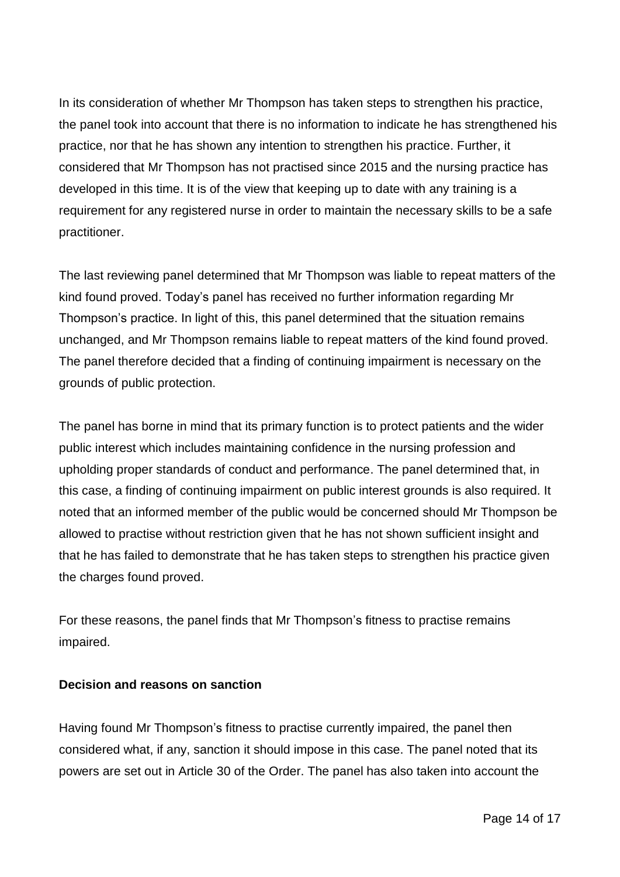In its consideration of whether Mr Thompson has taken steps to strengthen his practice, the panel took into account that there is no information to indicate he has strengthened his practice, nor that he has shown any intention to strengthen his practice. Further, it considered that Mr Thompson has not practised since 2015 and the nursing practice has developed in this time. It is of the view that keeping up to date with any training is a requirement for any registered nurse in order to maintain the necessary skills to be a safe practitioner.

The last reviewing panel determined that Mr Thompson was liable to repeat matters of the kind found proved. Today's panel has received no further information regarding Mr Thompson's practice. In light of this, this panel determined that the situation remains unchanged, and Mr Thompson remains liable to repeat matters of the kind found proved. The panel therefore decided that a finding of continuing impairment is necessary on the grounds of public protection.

The panel has borne in mind that its primary function is to protect patients and the wider public interest which includes maintaining confidence in the nursing profession and upholding proper standards of conduct and performance. The panel determined that, in this case, a finding of continuing impairment on public interest grounds is also required. It noted that an informed member of the public would be concerned should Mr Thompson be allowed to practise without restriction given that he has not shown sufficient insight and that he has failed to demonstrate that he has taken steps to strengthen his practice given the charges found proved.

For these reasons, the panel finds that Mr Thompson's fitness to practise remains impaired.

### **Decision and reasons on sanction**

Having found Mr Thompson's fitness to practise currently impaired, the panel then considered what, if any, sanction it should impose in this case. The panel noted that its powers are set out in Article 30 of the Order. The panel has also taken into account the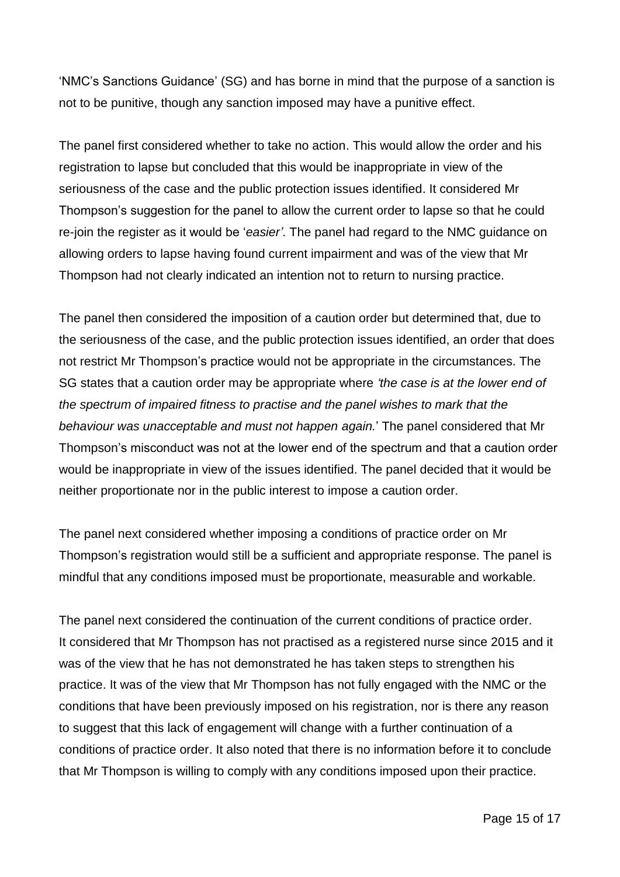'NMC's Sanctions Guidance' (SG) and has borne in mind that the purpose of a sanction is not to be punitive, though any sanction imposed may have a punitive effect.

The panel first considered whether to take no action. This would allow the order and his registration to lapse but concluded that this would be inappropriate in view of the seriousness of the case and the public protection issues identified. It considered Mr Thompson's suggestion for the panel to allow the current order to lapse so that he could re-join the register as it would be '*easier'*. The panel had regard to the NMC guidance on allowing orders to lapse having found current impairment and was of the view that Mr Thompson had not clearly indicated an intention not to return to nursing practice.

The panel then considered the imposition of a caution order but determined that, due to the seriousness of the case, and the public protection issues identified, an order that does not restrict Mr Thompson's practice would not be appropriate in the circumstances. The SG states that a caution order may be appropriate where *'the case is at the lower end of the spectrum of impaired fitness to practise and the panel wishes to mark that the behaviour was unacceptable and must not happen again.*' The panel considered that Mr Thompson's misconduct was not at the lower end of the spectrum and that a caution order would be inappropriate in view of the issues identified. The panel decided that it would be neither proportionate nor in the public interest to impose a caution order.

The panel next considered whether imposing a conditions of practice order on Mr Thompson's registration would still be a sufficient and appropriate response. The panel is mindful that any conditions imposed must be proportionate, measurable and workable.

The panel next considered the continuation of the current conditions of practice order. It considered that Mr Thompson has not practised as a registered nurse since 2015 and it was of the view that he has not demonstrated he has taken steps to strengthen his practice. It was of the view that Mr Thompson has not fully engaged with the NMC or the conditions that have been previously imposed on his registration, nor is there any reason to suggest that this lack of engagement will change with a further continuation of a conditions of practice order. It also noted that there is no information before it to conclude that Mr Thompson is willing to comply with any conditions imposed upon their practice.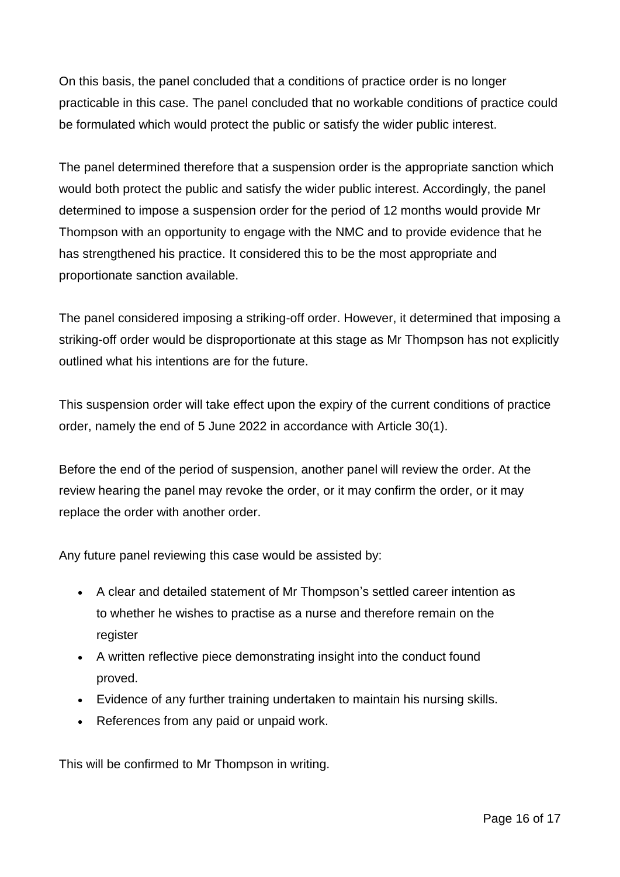On this basis, the panel concluded that a conditions of practice order is no longer practicable in this case. The panel concluded that no workable conditions of practice could be formulated which would protect the public or satisfy the wider public interest.

The panel determined therefore that a suspension order is the appropriate sanction which would both protect the public and satisfy the wider public interest. Accordingly, the panel determined to impose a suspension order for the period of 12 months would provide Mr Thompson with an opportunity to engage with the NMC and to provide evidence that he has strengthened his practice. It considered this to be the most appropriate and proportionate sanction available.

The panel considered imposing a striking-off order. However, it determined that imposing a striking-off order would be disproportionate at this stage as Mr Thompson has not explicitly outlined what his intentions are for the future.

This suspension order will take effect upon the expiry of the current conditions of practice order, namely the end of 5 June 2022 in accordance with Article 30(1).

Before the end of the period of suspension, another panel will review the order. At the review hearing the panel may revoke the order, or it may confirm the order, or it may replace the order with another order.

Any future panel reviewing this case would be assisted by:

- A clear and detailed statement of Mr Thompson's settled career intention as to whether he wishes to practise as a nurse and therefore remain on the register
- A written reflective piece demonstrating insight into the conduct found proved.
- Evidence of any further training undertaken to maintain his nursing skills.
- References from any paid or unpaid work.

This will be confirmed to Mr Thompson in writing.